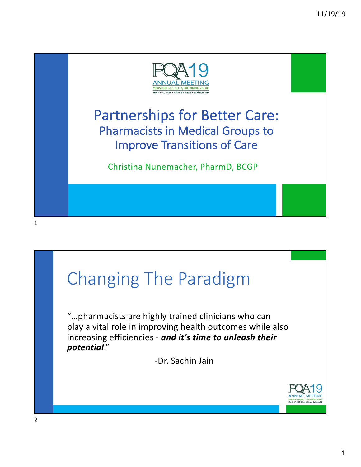

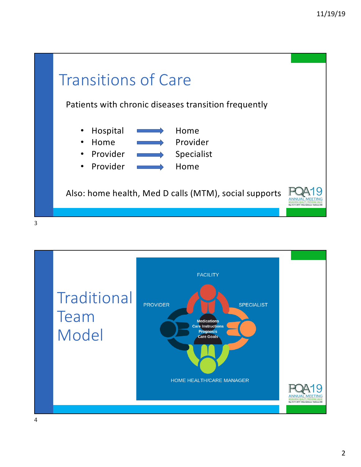

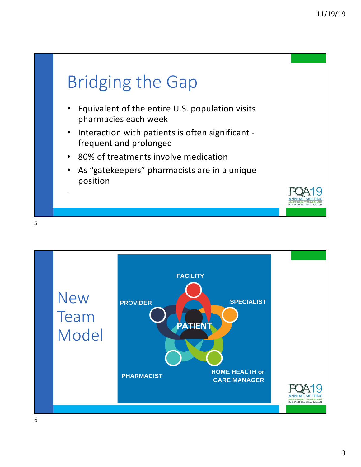

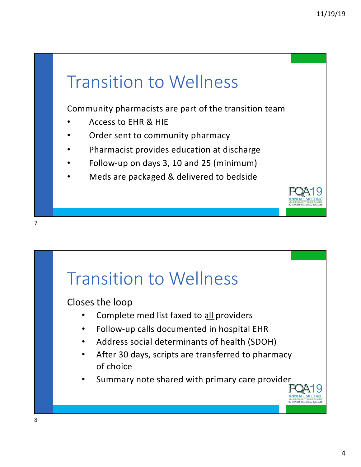

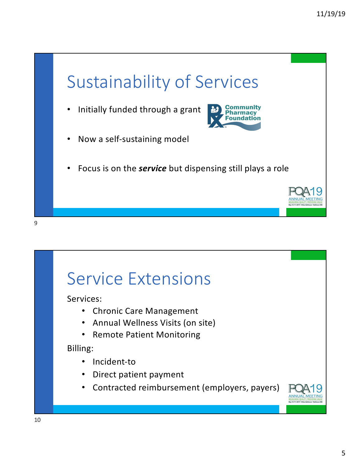

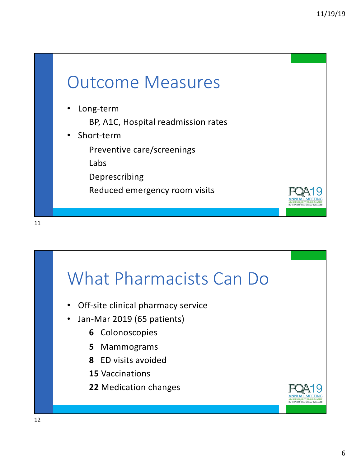

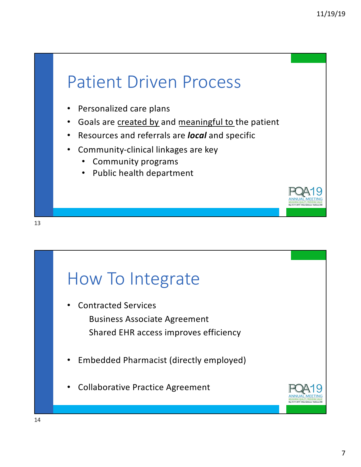

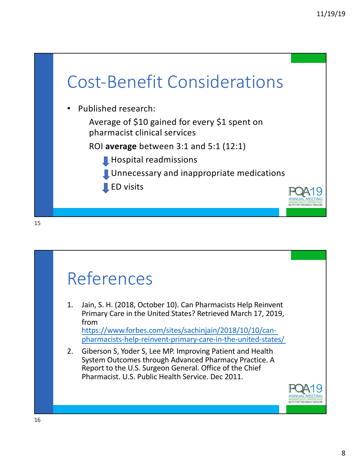